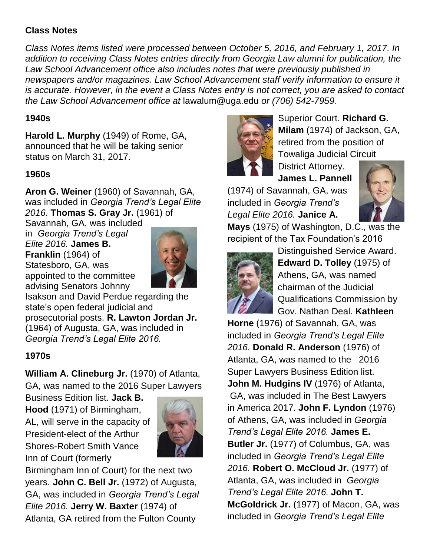## **Class Notes**

*Class Notes items listed were processed between October 5, 2016, and February 1, 2017. In addition to receiving Class Notes entries directly from Georgia Law alumni for publication, the*  Law School Advancement office also includes notes that were previously published in *newspapers and/or magazines. Law School Advancement staff verify information to ensure it is accurate. However, in the event a Class Notes entry is not correct, you are asked to contact the Law School Advancement office at* lawalum@uga.edu *or (706) 542-7959.*

### **1940s**

**Harold L. Murphy** (1949) of Rome, GA, announced that he will be taking senior status on March 31, 2017.

### **1960s**

**Aron G. Weiner** (1960) of Savannah, GA, was included in *Georgia Trend's Legal Elite 2016.* **Thomas S. Gray Jr.** (1961) of

Savannah, GA, was included in *Georgia Trend's Legal* 

*Elite 2016.* **James B. Franklin** (1964) of Statesboro, GA, was appointed to the committee advising Senators Johnny



Isakson and David Perdue regarding the state's open federal judicial and prosecutorial posts. **R. Lawton Jordan Jr.** (1964) of Augusta, GA, was included in *Georgia Trend's Legal Elite 2016.*

## **1970s**

**William A. Clineburg Jr.** (1970) of Atlanta, GA, was named to the 2016 Super Lawyers

Business Edition list. **Jack B. Hood** (1971) of Birmingham, AL, will serve in the capacity of President-elect of the Arthur Shores-Robert Smith Vance Inn of Court (formerly



Birmingham Inn of Court) for the next two years. **John C. Bell Jr.** (1972) of Augusta, GA, was included in *Georgia Trend's Legal Elite 2016.* **Jerry W. Baxter** (1974) of Atlanta, GA retired from the Fulton County



Superior Court. **Richard G. Milam** (1974) of Jackson, GA, retired from the position of Towaliga Judicial Circuit

District Attorney. **James L. Pannell**

(1974) of Savannah, GA, was included in *Georgia Trend's Legal Elite 2016.* **Janice A.** 



**Mays** (1975) of Washington, D.C., was the recipient of the Tax Foundation's 2016



Distinguished Service Award. **Edward D. Tolley** (1975) of Athens, GA, was named chairman of the Judicial Qualifications Commission by Gov. Nathan Deal. **Kathleen** 

**Horne** (1976) of Savannah, GA, was included in *Georgia Trend's Legal Elite 2016.* **Donald R. Anderson** (1976) of Atlanta, GA, was named to the 2016 Super Lawyers Business Edition list. **John M. Hudgins IV** (1976) of Atlanta, GA, was included in The Best Lawyers in America 2017. **John F. Lyndon** (1976) of Athens, GA, was included in *Georgia Trend's Legal Elite 2016.* **James E. Butler Jr.** (1977) of Columbus, GA, was included in *Georgia Trend's Legal Elite 2016.* **Robert O. McCloud Jr.** (1977) of Atlanta, GA, was included in *Georgia Trend's Legal Elite 2016.* **John T. McGoldrick Jr.** (1977) of Macon, GA, was included in *Georgia Trend's Legal Elite*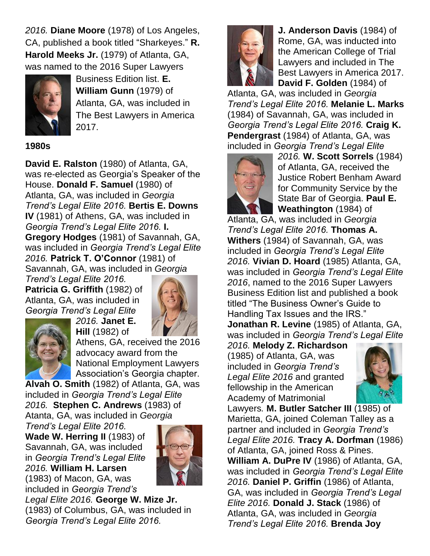*2016.* **Diane Moore** (1978) of Los Angeles, CA, published a book titled "Sharkeyes." **R. Harold Meeks Jr.** (1979) of Atlanta, GA, was named to the 2016 Super Lawyers



Business Edition list. **E. William Gunn** (1979) of Atlanta, GA, was included in The Best Lawyers in America 2017.

#### **1980s**

**David E. Ralston** (1980) of Atlanta, GA, was re-elected as Georgia's Speaker of the House. **Donald F. Samuel** (1980) of Atlanta, GA, was included in *Georgia Trend's Legal Elite 2016.* **Bertis E. Downs IV** (1981) of Athens, GA, was included in *Georgia Trend's Legal Elite 2016.* **I. Gregory Hodges** (1981) of Savannah, GA, was included in *Georgia Trend's Legal Elite 2016.* **Patrick T. O'Connor** (1981) of Savannah, GA, was included in *Georgia* 

*Trend's Legal Elite 2016.* **Patricia G. Griffith** (1982) of Atlanta, GA, was included in *Georgia Trend's Legal Elite 2016.* **Janet E.** 





**Hill** (1982) of Athens, GA, received the 2016 advocacy award from the National Employment Lawyers Association's Georgia chapter.

**Alvah O. Smith** (1982) of Atlanta, GA, was included in *Georgia Trend's Legal Elite 2016.* **Stephen C. Andrews** (1983) of Atanta, GA, was included in *Georgia* 

*Trend's Legal Elite 2016.* **Wade W. Herring II** (1983) of Savannah, GA, was included in *Georgia Trend's Legal Elite 2016.* **William H. Larsen** (1983) of Macon, GA, was

included in *Georgia Trend's* 



*Legal Elite 2016.* **George W. Mize Jr.** (1983) of Columbus, GA, was included in *Georgia Trend's Legal Elite 2016.*



**J. Anderson Davis** (1984) of Rome, GA, was inducted into the American College of Trial Lawyers and included in The Best Lawyers in America 2017. **David F. Golden** (1984) of

Atlanta, GA, was included in *Georgia Trend's Legal Elite 2016.* **Melanie L. Marks** (1984) of Savannah, GA, was included in *Georgia Trend's Legal Elite 2016.* **Craig K. Pendergrast** (1984) of Atlanta, GA, was included in *Georgia Trend's Legal Elite* 



*2016.* **W. Scott Sorrels** (1984) of Atlanta, GA, received the Justice Robert Benham Award for Community Service by the State Bar of Georgia. **Paul E. Weathington** (1984) of

Atlanta, GA, was included in *Georgia Trend's Legal Elite 2016.* **Thomas A. Withers** (1984) of Savannah, GA, was included in *Georgia Trend's Legal Elite 2016.* **Vivian D. Hoard** (1985) Atlanta, GA, was included in *Georgia Trend's Legal Elite 2016*, named to the 2016 Super Lawyers Business Edition list and published a book titled "The Business Owner's Guide to Handling Tax Issues and the IRS." **Jonathan R. Levine** (1985) of Atlanta, GA, was included in *Georgia Trend's Legal Elite* 

*2016.* **Melody Z. Richardson**  (1985) of Atlanta, GA, was included in *Georgia Trend's Legal Elite 2016* and granted fellowship in the American Academy of Matrimonial



Lawyers*.* **M. Butler Satcher III** (1985) of Marietta, GA, joined Coleman Talley as a partner and included in *Georgia Trend's Legal Elite 2016.* **Tracy A. Dorfman** (1986) of Atlanta, GA, joined Ross & Pines. **William A. DuPre IV** (1986) of Atlanta, GA, was included in *Georgia Trend's Legal Elite 2016.* **Daniel P. Griffin** (1986) of Atlanta, GA, was included in *Georgia Trend's Legal Elite 2016.* **Donald J. Stack** (1986) of Atlanta, GA, was included in *Georgia Trend's Legal Elite 2016.* **Brenda Joy**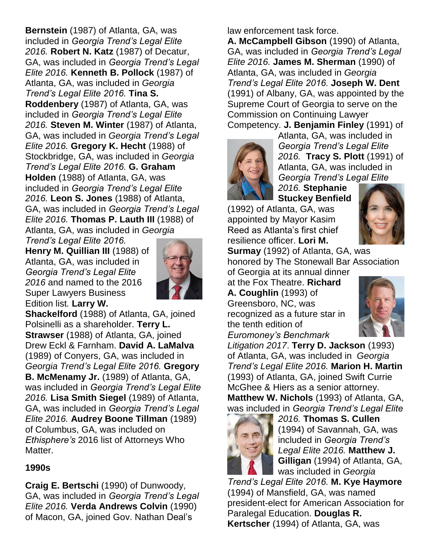**Bernstein** (1987) of Atlanta, GA, was included in *Georgia Trend's Legal Elite 2016.* **Robert N. Katz** (1987) of Decatur, GA, was included in *Georgia Trend's Legal Elite 2016.* **Kenneth B. Pollock** (1987) of Atlanta, GA, was included in *Georgia Trend's Legal Elite 2016.* **Tina S. Roddenbery** (1987) of Atlanta, GA, was included in *Georgia Trend's Legal Elite 2016.* **Steven M. Winter** (1987) of Atlanta, GA, was included in *Georgia Trend's Legal Elite 2016.* **Gregory K. Hecht** (1988) of Stockbridge, GA, was included in *Georgia Trend's Legal Elite 2016.* **G. Graham Holden** (1988) of Atlanta, GA, was included in *Georgia Trend's Legal Elite 2016.* **Leon S. Jones** (1988) of Atlanta, GA, was included in *Georgia Trend's Legal Elite 2016.* **Thomas P. Lauth III** (1988) of Atlanta, GA, was included in *Georgia* 

*Trend's Legal Elite 2016.* **Henry M. Quillian III** (1988) of Atlanta, GA, was included in *Georgia Trend's Legal Elite 2016* and named to the 2016 Super Lawyers Business Edition list*.* **Larry W.** 



**Shackelford** (1988) of Atlanta, GA, joined Polsinelli as a shareholder. **Terry L. Strawser** (1988) of Atlanta, GA, joined Drew Eckl & Farnham. **David A. LaMalva** (1989) of Conyers, GA, was included in *Georgia Trend's Legal Elite 2016.* **Gregory B. McMenamy Jr.** (1989) of Atlanta, GA, was included in *Georgia Trend's Legal Elite 2016.* **Lisa Smith Siegel** (1989) of Atlanta, GA, was included in *Georgia Trend's Legal Elite 2016.* **Audrey Boone Tillman** (1989) of Columbus, GA, was included on *Ethisphere's* 2016 list of Attorneys Who Matter.

## **1990s**

**Craig E. Bertschi** (1990) of Dunwoody, GA, was included in *Georgia Trend's Legal Elite 2016.* **Verda Andrews Colvin** (1990) of Macon, GA, joined Gov. Nathan Deal's

law enforcement task force.

**A. McCampbell Gibson** (1990) of Atlanta, GA, was included in *Georgia Trend's Legal Elite 2016.* **James M. Sherman** (1990) of Atlanta, GA, was included in *Georgia Trend's Legal Elite 2016.* **Joseph W. Dent**  (1991) of Albany, GA, was appointed by the Supreme Court of Georgia to serve on the Commission on Continuing Lawyer Competency. **J. Benjamin Finley** (1991) of



Atlanta, GA, was included in *Georgia Trend's Legal Elite 2016.* **Tracy S. Plott** (1991) of Atlanta, GA, was included in *Georgia Trend's Legal Elite* 

*2016.* **Stephanie Stuckey Benfield**

(1992) of Atlanta, GA, was appointed by Mayor Kasim Reed as Atlanta's first chief resilience officer. **Lori M.** 



**Surmay** (1992) of Atlanta, GA, was honored by The Stonewall Bar Association

of Georgia at its annual dinner at the Fox Theatre. **Richard A. Coughlin** (1993) of Greensboro, NC, was recognized as a future star in the tenth edition of *Euromoney's Benchmark* 



*Litigation 2017*. **Terry D. Jackson** (1993) of Atlanta, GA, was included in *Georgia Trend's Legal Elite 2016.* **Marion H. Martin** (1993) of Atlanta, GA, joined Swift Currie McGhee & Hiers as a senior attorney. **Matthew W. Nichols** (1993) of Atlanta, GA, was included in *Georgia Trend's Legal Elite* 



*2016.* **Thomas S. Cullen** (1994) of Savannah, GA, was included in *Georgia Trend's Legal Elite 2016.* **Matthew J. Gilligan** (1994) of Atlanta, GA, was included in *Georgia* 

*Trend's Legal Elite 2016.* **M. Kye Haymore** (1994) of Mansfield, GA, was named president-elect for American Association for Paralegal Education. **Douglas R. Kertscher** (1994) of Atlanta, GA, was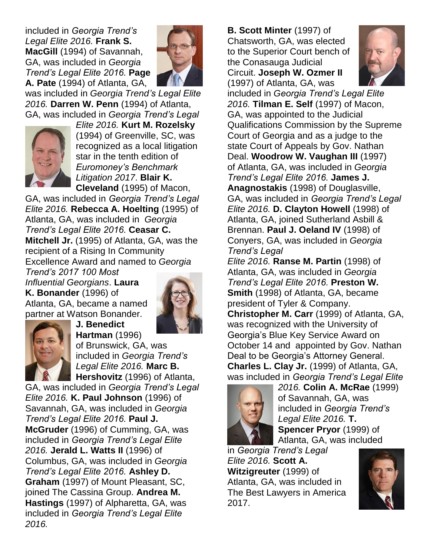included in *Georgia Trend's Legal Elite 2016.* **Frank S. MacGill** (1994) of Savannah, GA, was included in *Georgia Trend's Legal Elite 2016.* **Page A. Pate** (1994) of Atlanta, GA,



was included in *Georgia Trend's Legal Elite 2016.* **Darren W. Penn** (1994) of Atlanta, GA, was included in *Georgia Trend's Legal* 



*Elite 2016.* **Kurt M. Rozelsky** (1994) of Greenville, SC, was recognized as a local litigation star in the tenth edition of *Euromoney's Benchmark Litigation 2017*. **Blair K. Cleveland** (1995) of Macon,

GA, was included in *Georgia Trend's Legal Elite 2016.* **Rebecca A. Hoelting** (1995) of Atlanta, GA, was included in *Georgia Trend's Legal Elite 2016.* **Ceasar C. Mitchell Jr.** (1995) of Atlanta, GA, was the recipient of a Rising In Community Excellence Award and named to *Georgia* 

*Trend's 2017 100 Most Influential Georgians*. **Laura K. Bonander** (1996) of Atlanta, GA, became a named partner at Watson Bonander.

**J. Benedict** 





**Hartman** (1996) of Brunswick, GA, was included in *Georgia Trend's Legal Elite 2016.* **Marc B. Hershovitz** (1996) of Atlanta,

GA, was included in *Georgia Trend's Legal Elite 2016.* **K. Paul Johnson** (1996) of Savannah, GA, was included in *Georgia Trend's Legal Elite 2016.* **Paul J. McGruder** (1996) of Cumming, GA, was included in *Georgia Trend's Legal Elite 2016.* **Jerald L. Watts II** (1996) of Columbus, GA, was included in *Georgia Trend's Legal Elite 2016.* **Ashley D. Graham** (1997) of Mount Pleasant, SC, joined The Cassina Group. **Andrea M. Hastings** (1997) of Alpharetta, GA, was included in *Georgia Trend's Legal Elite 2016.*

**B. Scott Minter** (1997) of Chatsworth, GA, was elected to the Superior Court bench of the Conasauga Judicial Circuit. **Joseph W. Ozmer II** (1997) of Atlanta, GA, was



included in *Georgia Trend's Legal Elite 2016.* **Tilman E. Self** (1997) of Macon, GA, was appointed to the Judicial Qualifications Commission by the Supreme Court of Georgia and as a judge to the state Court of Appeals by Gov. Nathan Deal. **Woodrow W. Vaughan III** (1997) of Atlanta, GA, was included in *Georgia Trend's Legal Elite 2016.* **James J. Anagnostakis** (1998) of Douglasville, GA, was included in *Georgia Trend's Legal Elite 2016.* **D. Clayton Howell** (1998) of Atlanta, GA, joined Sutherland Asbill & Brennan. **Paul J. Oeland IV** (1998) of Conyers, GA, was included in *Georgia Trend's Legal* 

*Elite 2016.* **Ranse M. Partin** (1998) of Atlanta, GA, was included in *Georgia Trend's Legal Elite 2016.* **Preston W. Smith** (1998) of Atlanta, GA, became president of Tyler & Company.

**Christopher M. Carr** (1999) of Atlanta, GA, was recognized with the University of Georgia's Blue Key Service Award on October 14 and appointed by Gov. Nathan Deal to be Georgia's Attorney General. **Charles L. Clay Jr.** (1999) of Atlanta, GA, was included in *Georgia Trend's Legal Elite* 



*2016.* **Colin A. McRae** (1999) of Savannah, GA, was included in *Georgia Trend's Legal Elite 2016.* **T. Spencer Pryor** (1999) of Atlanta, GA, was included

in *Georgia Trend's Legal Elite 2016.* **Scott A. Witzigreuter** (1999) of Atlanta, GA, was included in The Best Lawyers in America 2017.

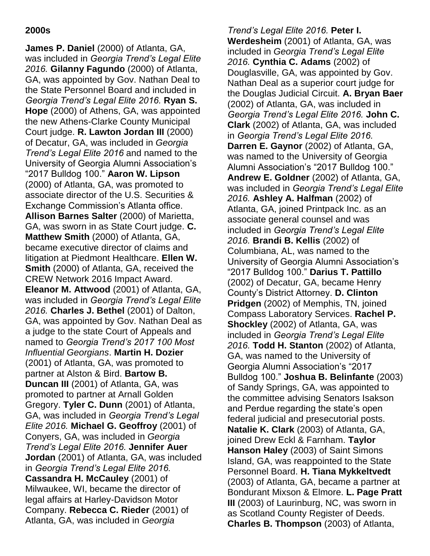### **2000s**

**James P. Daniel** (2000) of Atlanta, GA, was included in *Georgia Trend's Legal Elite 2016.* **Gilanny Fagundo** (2000) of Atlanta, GA, was appointed by Gov. Nathan Deal to the State Personnel Board and included in *Georgia Trend's Legal Elite 2016.* **Ryan S. Hope** (2000) of Athens, GA, was appointed the new Athens-Clarke County Municipal Court judge. **R. Lawton Jordan III** (2000) of Decatur, GA, was included in *Georgia Trend's Legal Elite 2016* and named to the University of Georgia Alumni Association's "2017 Bulldog 100." **Aaron W. Lipson**  (2000) of Atlanta, GA, was promoted to associate director of the U.S. Securities & Exchange Commission's Atlanta office. **Allison Barnes Salter** (2000) of Marietta, GA, was sworn in as State Court judge. **C. Matthew Smith** (2000) of Atlanta, GA, became executive director of claims and litigation at Piedmont Healthcare. **Ellen W. Smith** (2000) of Atlanta, GA, received the CREW Network 2016 Impact Award. **Eleanor M. Attwood** (2001) of Atlanta, GA, was included in *Georgia Trend's Legal Elite 2016.* **Charles J. Bethel** (2001) of Dalton, GA, was appointed by Gov. Nathan Deal as a judge to the state Court of Appeals and named to *Georgia Trend's 2017 100 Most Influential Georgians*. **Martin H. Dozier**  (2001) of Atlanta, GA, was promoted to partner at Alston & Bird. **Bartow B. Duncan III** (2001) of Atlanta, GA, was promoted to partner at Arnall Golden Gregory. **Tyler C. Dunn** (2001) of Atlanta, GA, was included in *Georgia Trend's Legal Elite 2016.* **Michael G. Geoffroy** (2001) of Conyers, GA, was included in *Georgia Trend's Legal Elite 2016.* **Jennifer Auer Jordan** (2001) of Atlanta, GA, was included in *Georgia Trend's Legal Elite 2016.* **Cassandra H. McCauley** (2001) of Milwaukee, WI, became the director of legal affairs at Harley-Davidson Motor Company. **Rebecca C. Rieder** (2001) of Atlanta, GA, was included in *Georgia* 

*Trend's Legal Elite 2016.* **Peter I. Werdesheim** (2001) of Atlanta, GA, was included in *Georgia Trend's Legal Elite 2016.* **Cynthia C. Adams** (2002) of Douglasville, GA, was appointed by Gov. Nathan Deal as a superior court judge for the Douglas Judicial Circuit. **A. Bryan Baer** (2002) of Atlanta, GA, was included in *Georgia Trend's Legal Elite 2016.* **John C. Clark** (2002) of Atlanta, GA, was included in *Georgia Trend's Legal Elite 2016.* **Darren E. Gaynor** (2002) of Atlanta, GA, was named to the University of Georgia Alumni Association's "2017 Bulldog 100." **Andrew E. Goldner** (2002) of Atlanta, GA, was included in *Georgia Trend's Legal Elite 2016.* **Ashley A. Halfman** (2002) of Atlanta, GA, joined Printpack Inc. as an associate general counsel and was included in *Georgia Trend's Legal Elite 2016.* **Brandi B. Kellis** (2002) of Columbiana, AL, was named to the University of Georgia Alumni Association's "2017 Bulldog 100." **Darius T. Pattillo**  (2002) of Decatur, GA, became Henry County's District Attorney. **D. Clinton Pridgen** (2002) of Memphis, TN, joined Compass Laboratory Services. **Rachel P. Shockley** (2002) of Atlanta, GA, was included in *Georgia Trend's Legal Elite 2016.* **Todd H. Stanton** (2002) of Atlanta, GA, was named to the University of Georgia Alumni Association's "2017 Bulldog 100." **Joshua B. Belinfante** (2003) of Sandy Springs, GA, was appointed to the committee advising Senators Isakson and Perdue regarding the state's open federal judicial and presecutorial posts. **Natalie K. Clark** (2003) of Atlanta, GA, joined Drew Eckl & Farnham. **Taylor Hanson Haley** (2003) of Saint Simons Island, GA, was reappointed to the State Personnel Board. **H. Tiana Mykkeltvedt**  (2003) of Atlanta, GA, became a partner at Bondurant Mixson & Elmore. **L. Page Pratt III** (2003) of Laurinburg, NC, was sworn in as Scotland County Register of Deeds. **Charles B. Thompson** (2003) of Atlanta,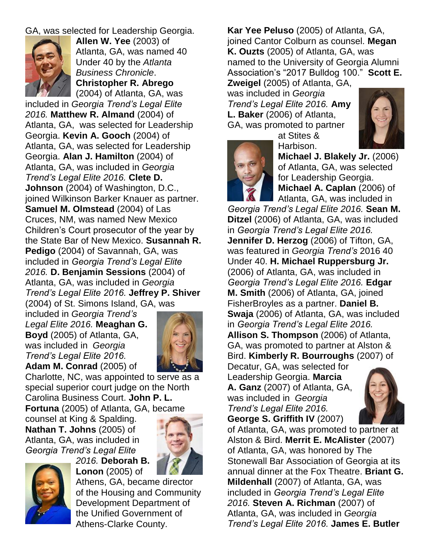### GA, was selected for Leadership Georgia.



**Allen W. Yee** (2003) of Atlanta, GA, was named 40 Under 40 by the *Atlanta Business Chronicle*. **Christopher R. Abrego** (2004) of Atlanta, GA, was

included in *Georgia Trend's Legal Elite 2016.* **Matthew R. Almand** (2004) of Atlanta, GA, was selected for Leadership Georgia. **Kevin A. Gooch** (2004) of Atlanta, GA, was selected for Leadership Georgia. **Alan J. Hamilton** (2004) of Atlanta, GA, was included in *Georgia Trend's Legal Elite 2016.* **Clete D. Johnson** (2004) of Washington, D.C., joined Wilkinson Barker Knauer as partner. **Samuel M. Olmstead** (2004) of Las Cruces, NM, was named New Mexico Children's Court prosecutor of the year by the State Bar of New Mexico. **Susannah R. Pedigo** (2004) of Savannah, GA, was included in *Georgia Trend's Legal Elite 2016.* **D. Benjamin Sessions** (2004) of Atlanta, GA, was included in *Georgia Trend's Legal Elite 2016.* **Jeffrey P. Shiver** (2004) of St. Simons Island, GA, was

included in *Georgia Trend's Legal Elite 2016.* **Meaghan G. Boyd** (2005) of Atlanta, GA, was included in *Georgia Trend's Legal Elite 2016.* **Adam M. Conrad** (2005) of



Charlotte, NC, was appointed to serve as a special superior court judge on the North Carolina Business Court. **John P. L. Fortuna** (2005) of Atlanta, GA, became

counsel at King & Spalding. **Nathan T. Johns** (2005) of Atlanta, GA, was included in *Georgia Trend's Legal Elite* 





*2016.* **Deborah B. Lonon** (2005) of

Athens, GA, became director of the Housing and Community Development Department of the Unified Government of Athens-Clarke County.

**Kar Yee Peluso** (2005) of Atlanta, GA, joined Cantor Colburn as counsel. **Megan K. Ouzts** (2005) of Atlanta, GA, was named to the University of Georgia Alumni Association's "2017 Bulldog 100." **Scott E. Zweigel** (2005) of Atlanta, GA,

was included in *Georgia Trend's Legal Elite 2016.* **Amy L. Baker** (2006) of Atlanta, GA, was promoted to partner

at Stites &



Harbison. **Michael J. Blakely Jr.** (2006) of Atlanta, GA, was selected for Leadership Georgia. **Michael A. Caplan** (2006) of Atlanta, GA, was included in

*Georgia Trend's Legal Elite 2016.* **Sean M. Ditzel** (2006) of Atlanta, GA, was included in *Georgia Trend's Legal Elite 2016.* **Jennifer D. Herzog** (2006) of Tifton, GA, was featured in *Georgia Trend's* 2016 40 Under 40. **H. Michael Ruppersburg Jr.** (2006) of Atlanta, GA, was included in *Georgia Trend's Legal Elite 2016.* **Edgar M. Smith** (2006) of Atlanta, GA, joined FisherBroyles as a partner. **Daniel B. Swaja** (2006) of Atlanta, GA, was included in *Georgia Trend's Legal Elite 2016.* **Allison S. Thompson** (2006) of Atlanta, GA, was promoted to partner at Alston & Bird. **Kimberly R. Bourroughs** (2007) of Decatur, GA, was selected for

Leadership Georgia. **Marcia A. Ganz** (2007) of Atlanta, GA, was included in *Georgia Trend's Legal Elite 2016.* **George S. Griffith IV** (2007)



of Atlanta, GA, was promoted to partner at Alston & Bird. **Merrit E. McAlister** (2007) of Atlanta, GA, was honored by The Stonewall Bar Association of Georgia at its annual dinner at the Fox Theatre. **Briant G. Mildenhall** (2007) of Atlanta, GA, was included in *Georgia Trend's Legal Elite 2016.* **Steven A. Richman** (2007) of Atlanta, GA, was included in *Georgia Trend's Legal Elite 2016.* **James E. Butler** 

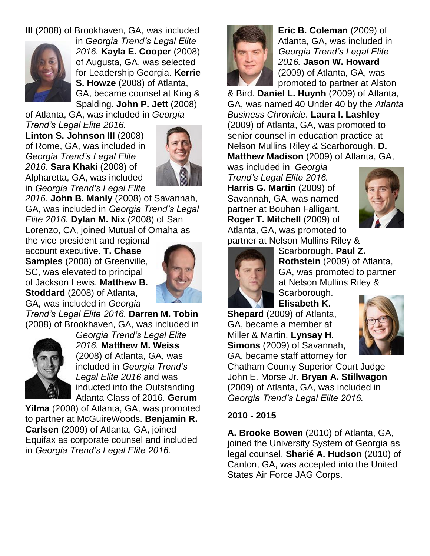# **III** (2008) of Brookhaven, GA, was included



in *Georgia Trend's Legal Elite 2016.* **Kayla E. Cooper** (2008) of Augusta, GA, was selected for Leadership Georgia. **Kerrie S. Howze** (2008) of Atlanta, GA, became counsel at King & Spalding. **John P. Jett** (2008)

of Atlanta, GA, was included in *Georgia Trend's Legal Elite 2016.* **Linton S. Johnson III** (2008) of Rome, GA, was included in *Georgia Trend's Legal Elite 2016.* **Sara Khaki** (2008) of Alpharetta, GA, was included in *Georgia Trend's Legal Elite* 



*2016.* **John B. Manly** (2008) of Savannah, GA, was included in *Georgia Trend's Legal Elite 2016.* **Dylan M. Nix** (2008) of San Lorenzo, CA, joined Mutual of Omaha as

the vice president and regional account executive. **T. Chase Samples** (2008) of Greenville, SC, was elevated to principal of Jackson Lewis. **Matthew B. Stoddard** (2008) of Atlanta, GA, was included in *Georgia* 



*Trend's Legal Elite 2016.* **Darren M. Tobin** (2008) of Brookhaven, GA, was included in



*Georgia Trend's Legal Elite 2016.* **Matthew M. Weiss** (2008) of Atlanta, GA, was included in *Georgia Trend's Legal Elite 2016* and was inducted into the Outstanding Atlanta Class of 2016*.* **Gerum** 

**Yilma** (2008) of Atlanta, GA, was promoted to partner at McGuireWoods. **Benjamin R. Carlsen** (2009) of Atlanta, GA, joined Equifax as corporate counsel and included in *Georgia Trend's Legal Elite 2016.*



**Eric B. Coleman** (2009) of Atlanta, GA, was included in *Georgia Trend's Legal Elite 2016.* **Jason W. Howard**  (2009) of Atlanta, GA, was promoted to partner at Alston

& Bird. **Daniel L. Huynh** (2009) of Atlanta, GA, was named 40 Under 40 by the *Atlanta Business Chronicle*. **Laura I. Lashley**  (2009) of Atlanta, GA, was promoted to senior counsel in education practice at Nelson Mullins Riley & Scarborough. **D. Matthew Madison** (2009) of Atlanta, GA,

was included in *Georgia Trend's Legal Elite 2016.*  **Harris G. Martin** (2009) of Savannah, GA, was named partner at Bouhan Falligant. **Roger T. Mitchell** (2009) of Atlanta, GA, was promoted to





partner at Nelson Mullins Riley & Scarborough. **Paul Z. Rothstein** (2009) of Atlanta, GA, was promoted to partner at Nelson Mullins Riley & Scarborough.

**Elisabeth K. Shepard** (2009) of Atlanta, GA, became a member at Miller & Martin. **Lynsay H. Simons** (2009) of Savannah,

GA, became staff attorney for



Chatham County Superior Court Judge John E. Morse Jr. **Bryan A. Stillwagon** (2009) of Atlanta, GA, was included in *Georgia Trend's Legal Elite 2016.*

### **2010 - 2015**

**A. Brooke Bowen** (2010) of Atlanta, GA, joined the University System of Georgia as legal counsel. **Sharié A. Hudson** (2010) of Canton, GA, was accepted into the United States Air Force JAG Corps.